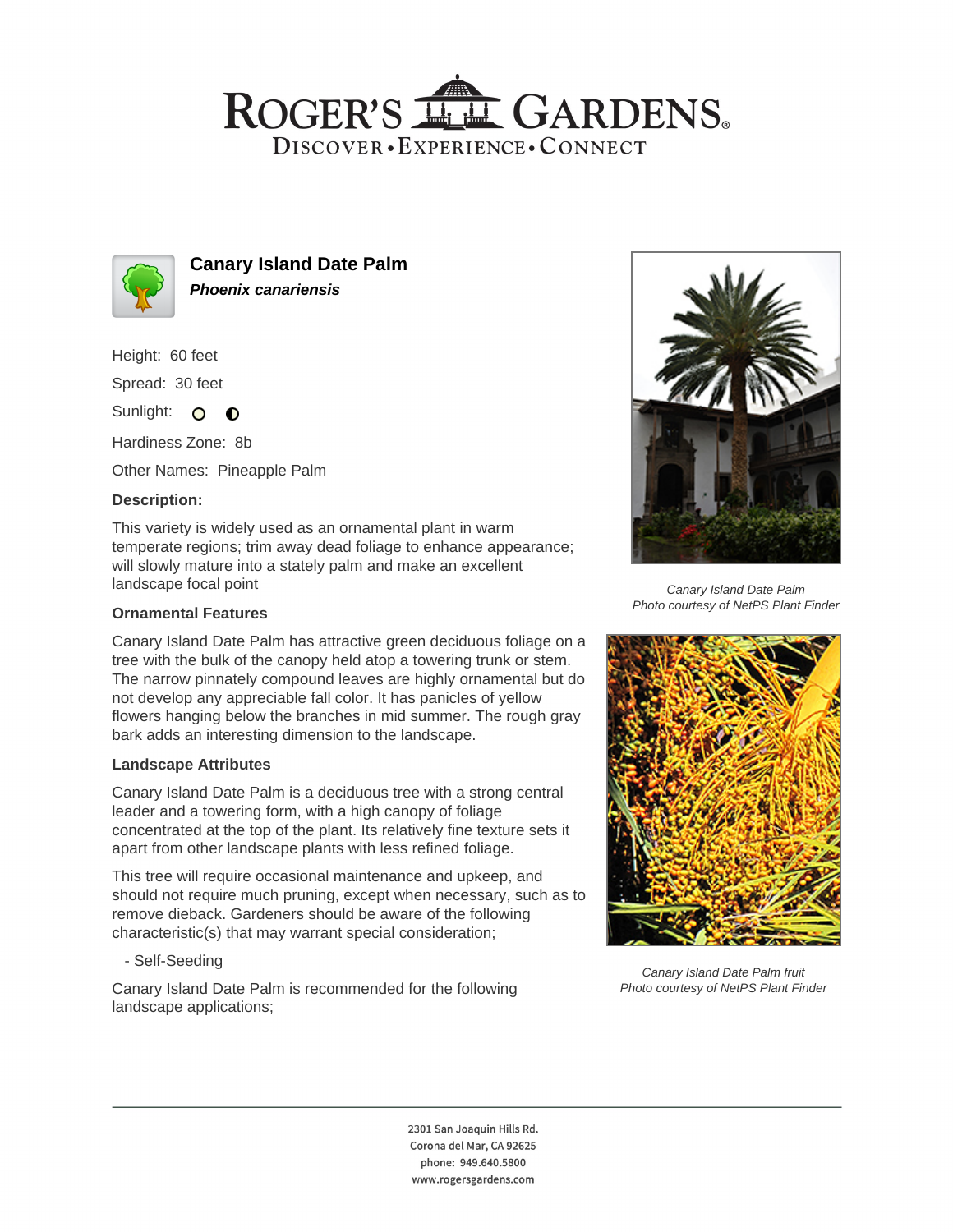## ROGER'S LL GARDENS. DISCOVER · EXPERIENCE · CONNECT



**Canary Island Date Palm Phoenix canariensis**

Height: 60 feet

Spread: 30 feet

Sunlight: O **O** 

Hardiness Zone: 8b

Other Names: Pineapple Palm

### **Description:**

This variety is widely used as an ornamental plant in warm temperate regions; trim away dead foliage to enhance appearance; will slowly mature into a stately palm and make an excellent landscape focal point

### **Ornamental Features**

Canary Island Date Palm has attractive green deciduous foliage on a tree with the bulk of the canopy held atop a towering trunk or stem. The narrow pinnately compound leaves are highly ornamental but do not develop any appreciable fall color. It has panicles of yellow flowers hanging below the branches in mid summer. The rough gray bark adds an interesting dimension to the landscape.

#### **Landscape Attributes**

Canary Island Date Palm is a deciduous tree with a strong central leader and a towering form, with a high canopy of foliage concentrated at the top of the plant. Its relatively fine texture sets it apart from other landscape plants with less refined foliage.

This tree will require occasional maintenance and upkeep, and should not require much pruning, except when necessary, such as to remove dieback. Gardeners should be aware of the following characteristic(s) that may warrant special consideration;

- Self-Seeding

Canary Island Date Palm is recommended for the following landscape applications;



Canary Island Date Palm Photo courtesy of NetPS Plant Finder



Canary Island Date Palm fruit Photo courtesy of NetPS Plant Finder

2301 San Joaquin Hills Rd. Corona del Mar, CA 92625 phone: 949.640.5800 www.rogersgardens.com